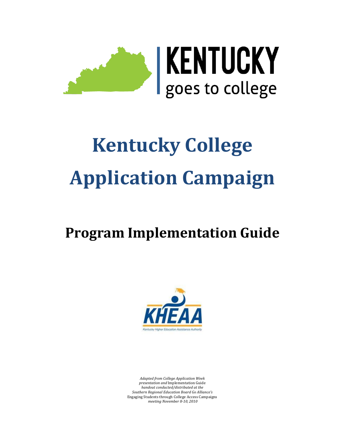

# **Kentucky College Application Campaign**

## **Program Implementation Guide**



*Adapted from College Application Week presentation and* Implementation Guide *handout conducted/distributed at the Southern Regional Education Board Go Alliance's*  Engaging Students through College Access Campaigns *meeting November 8-10, 2010*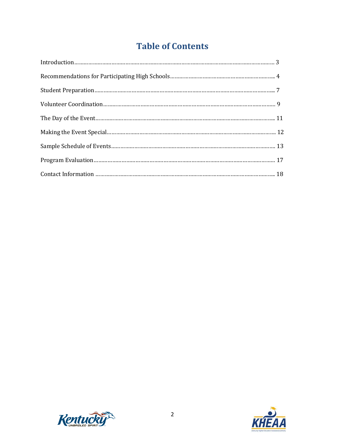## **Table of Contents**



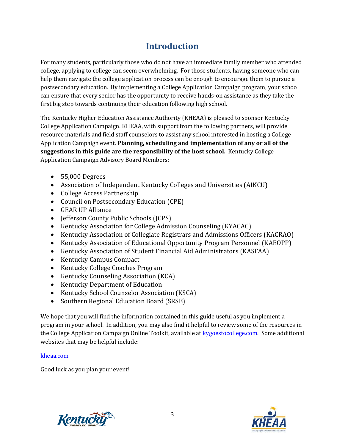## **Introduction**

For many students, particularly those who do not have an immediate family member who attended college, applying to college can seem overwhelming. For those students, having someone who can help them navigate the college application process can be enough to encourage them to pursue a postsecondary education. By implementing a College Application Campaign program, your school can ensure that every senior has the opportunity to receive hands-on assistance as they take the first big step towards continuing their education following high school.

The Kentucky Higher Education Assistance Authority (KHEAA) is pleased to sponsor Kentucky College Application Campaign. KHEAA, with support from the following partners, will provide resource materials and field staff counselors to assist any school interested in hosting a College Application Campaign event. **Planning, scheduling and implementation of any or all of the suggestions in this guide are the responsibility of the host school.** Kentucky College Application Campaign Advisory Board Members:

- 55,000 Degrees
- Association of Independent Kentucky Colleges and Universities (AIKCU)
- College Access Partnership
- Council on Postsecondary Education (CPE)
- GEAR UP Alliance
- Iefferson County Public Schools (ICPS)
- Kentucky Association for College Admission Counseling (KYACAC)
- Kentucky Association of Collegiate Registrars and Admissions Officers (KACRAO)
- Kentucky Association of Educational Opportunity Program Personnel (KAEOPP)
- Kentucky Association of Student Financial Aid Administrators (KASFAA)
- Kentucky Campus Compact
- Kentucky College Coaches Program
- Kentucky Counseling Association (KCA)
- Kentucky Department of Education
- Kentucky School Counselor Association (KSCA)
- Southern Regional Education Board (SRSB)

We hope that you will find the information contained in this guide useful as you implement a program in your school. In addition, you may also find it helpful to review some of the resources in the College Application Campaign Online Toolkit, available at [kygoestocollege.com.](http://www.kygoestocollege.com/) Some additional websites that may be helpful include:

#### [kheaa.com](http://www.kheaa.com/)

Good luck as you plan your event!



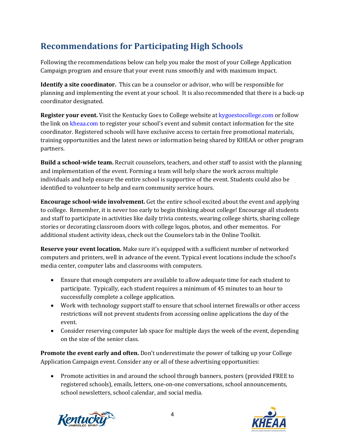## **Recommendations for Participating High Schools**

Following the recommendations below can help you make the most of your College Application Campaign program and ensure that your event runs smoothly and with maximum impact.

**Identify a site coordinator.** This can be a counselor or advisor, who will be responsible for planning and implementing the event at your school. It is also recommended that there is a back-up coordinator designated.

**Register your event.** Visit the Kentucky Goes to College website a[t kygoestocollege.com](http://www.kygoestocollege.com/) or follow the link o[n kheaa.com](http://kheaa.com/) to register your school's event and submit contact information for the site coordinator. Registered schools will have exclusive access to certain free promotional materials, training opportunities and the latest news or information being shared by KHEAA or other program partners.

**Build a school-wide team.** Recruit counselors, teachers, and other staff to assist with the planning and implementation of the event. Forming a team will help share the work across multiple individuals and help ensure the entire school is supportive of the event. Students could also be identified to volunteer to help and earn community service hours.

**Encourage school-wide involvement.** Get the entire school excited about the event and applying to college. Remember, it is never too early to begin thinking about college! Encourage all students and staff to participate in activities like daily trivia contests, wearing college shirts, sharing college stories or decorating classroom doors with college logos, photos, and other mementos. For additional student activity ideas, check out the Counselors tab in the Online Toolkit.

**Reserve your event location.** Make sure it's equipped with a sufficient number of networked computers and printers, well in advance of the event. Typical event locations include the school's media center, computer labs and classrooms with computers.

- Ensure that enough computers are available to allow adequate time for each student to participate. Typically, each student requires a minimum of 45 minutes to an hour to successfully complete a college application.
- Work with technology support staff to ensure that school internet firewalls or other access restrictions will not prevent students from accessing online applications the day of the event.
- Consider reserving computer lab space for multiple days the week of the event, depending on the size of the senior class.

**Promote the event early and often.** Don't underestimate the power of talking up your College Application Campaign event. Consider any or all of these advertising opportunities:

• Promote activities in and around the school through banners, posters (provided FREE to registered schools), emails, letters, one-on-one conversations, school announcements, school newsletters, school calendar, and social media.



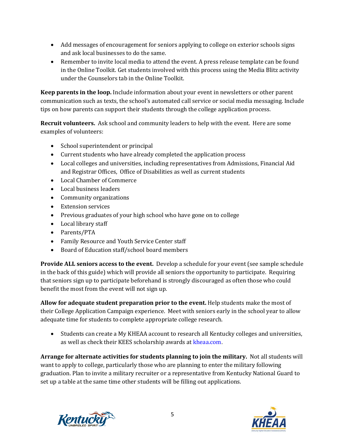- Add messages of encouragement for seniors applying to college on exterior schools signs and ask local businesses to do the same.
- Remember to invite local media to attend the event. A press release template can be found in the Online Toolkit. Get students involved with this process using the Media Blitz activity under the Counselors tab in the Online Toolkit.

**Keep parents in the loop.** Include information about your event in newsletters or other parent communication such as texts, the school's automated call service or social media messaging. Include tips on how parents can support their students through the college application process.

**Recruit volunteers.** Ask school and community leaders to help with the event. Here are some examples of volunteers:

- School superintendent or principal
- Current students who have already completed the application process
- Local colleges and universities, including representatives from Admissions, Financial Aid and Registrar Offices, Office of Disabilities as well as current students
- Local Chamber of Commerce
- Local business leaders
- Community organizations
- Extension services
- Previous graduates of your high school who have gone on to college
- Local library staff
- Parents/PTA
- Family Resource and Youth Service Center staff
- Board of Education staff/school board members

**Provide ALL seniors access to the event.** Develop a schedule for your event (see sample schedule in the back of this guide) which will provide all seniors the opportunity to participate. Requiring that seniors sign up to participate beforehand is strongly discouraged as often those who could benefit the most from the event will not sign up.

**Allow for adequate student preparation prior to the event.** Help students make the most of their College Application Campaign experience. Meet with seniors early in the school year to allow adequate time for students to complete appropriate college research.

• Students can create a My KHEAA account to research all Kentucky colleges and universities, as well as check their KEES scholarship awards a[t kheaa.com](http://www.kheaa.com/).

**Arrange for alternate activities for students planning to join the military.** Not all students will want to apply to college, particularly those who are planning to enter the military following graduation. Plan to invite a military recruiter or a representative from Kentucky National Guard to set up a table at the same time other students will be filling out applications.



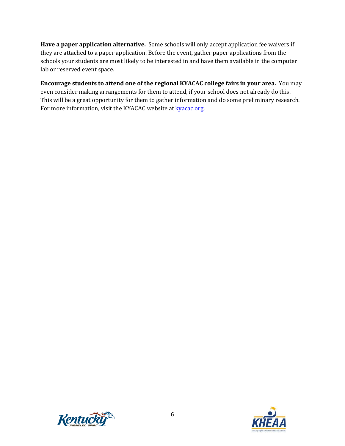**Have a paper application alternative.** Some schools will only accept application fee waivers if they are attached to a paper application. Before the event, gather paper applications from the schools your students are most likely to be interested in and have them available in the computer lab or reserved event space.

**Encourage students to attend one of the regional KYACAC college fairs in your area.** You may even consider making arrangements for them to attend, if your school does not already do this. This will be a great opportunity for them to gather information and do some preliminary research. For more information, visit the KYACAC website a[t kyacac.org.](http://kyacac.org/) 



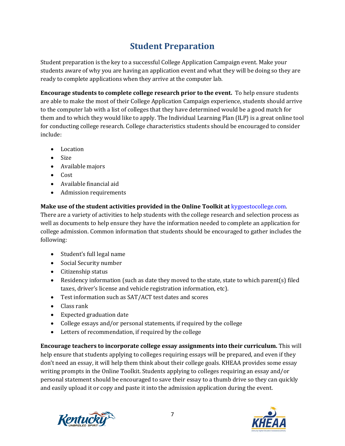## **Student Preparation**

Student preparation is the key to a successful College Application Campaign event. Make your students aware of why you are having an application event and what they will be doing so they are ready to complete applications when they arrive at the computer lab.

**Encourage students to complete college research prior to the event.** To help ensure students are able to make the most of their College Application Campaign experience, students should arrive to the computer lab with a list of colleges that they have determined would be a good match for them and to which they would like to apply. The Individual Learning Plan (ILP) is a great online tool for conducting college research. College characteristics students should be encouraged to consider include:

- Location
- Size
- Available majors
- Cost
- Available financial aid
- Admission requirements

#### **Make use of the student activities provided in the Online Toolkit at** kygoestocollege.com.

There are a variety of activities to help students with the college research and selection process as well as documents to help ensure they have the information needed to complete an application for college admission. Common information that students should be encouraged to gather includes the following:

- Student's full legal name
- Social Security number
- Citizenship status
- Residency information (such as date they moved to the state, state to which parent(s) filed taxes, driver's license and vehicle registration information, etc).
- Test information such as SAT/ACT test dates and scores
- Class rank
- Expected graduation date
- College essays and/or personal statements, if required by the college
- Letters of recommendation, if required by the college

**Encourage teachers to incorporate college essay assignments into their curriculum.** This will help ensure that students applying to colleges requiring essays will be prepared, and even if they don't need an essay, it will help them think about their college goals. KHEAA provides some essay writing prompts in the Online Toolkit. Students applying to colleges requiring an essay and/or personal statement should be encouraged to save their essay to a thumb drive so they can quickly and easily upload it or copy and paste it into the admission application during the event.



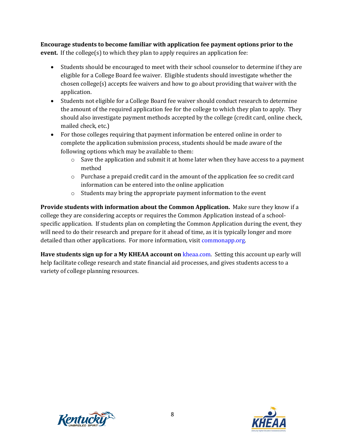**Encourage students to become familiar with application fee payment options prior to the event.** If the college(s) to which they plan to apply requires an application fee:

- Students should be encouraged to meet with their school counselor to determine if they are eligible for a College Board fee waiver. Eligible students should investigate whether the chosen college(s) accepts fee waivers and how to go about providing that waiver with the application.
- Students not eligible for a College Board fee waiver should conduct research to determine the amount of the required application fee for the college to which they plan to apply. They should also investigate payment methods accepted by the college (credit card, online check, mailed check, etc.)
- For those colleges requiring that payment information be entered online in order to complete the application submission process, students should be made aware of the following options which may be available to them:
	- $\circ$  Save the application and submit it at home later when they have access to a payment method
	- o Purchase a prepaid credit card in the amount of the application fee so credit card information can be entered into the online application
	- o Students may bring the appropriate payment information to the event

**Provide students with information about the Common Application.** Make sure they know if a college they are considering accepts or requires the Common Application instead of a schoolspecific application. If students plan on completing the Common Application during the event, they will need to do their research and prepare for it ahead of time, as it is typically longer and more detailed than other applications. For more information, visit [commonapp.org.](http://commonapp.org/)

**Have students sign up for a My KHEAA account on** [kheaa.com.](http://www.kheaa.com/) Setting this account up early will help facilitate college research and state financial aid processes, and gives students access to a variety of college planning resources.



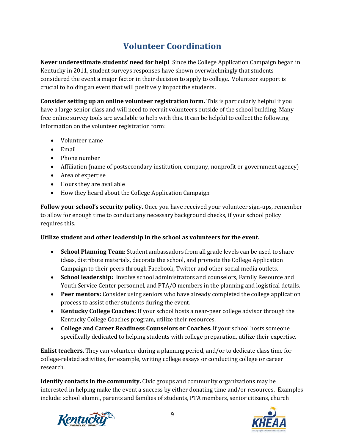## **Volunteer Coordination**

**Never underestimate students' need for help!** Since the College Application Campaign began in Kentucky in 2011, student surveys responses have shown overwhelmingly that students considered the event a major factor in their decision to apply to college. Volunteer support is crucial to holding an event that will positively impact the students.

**Consider setting up an online volunteer registration form.** This is particularly helpful if you have a large senior class and will need to recruit volunteers outside of the school building. Many free online survey tools are available to help with this. It can be helpful to collect the following information on the volunteer registration form:

- Volunteer name
- Email
- Phone number
- Affiliation (name of postsecondary institution, company, nonprofit or government agency)
- Area of expertise
- Hours they are available
- How they heard about the College Application Campaign

**Follow your school's security policy.** Once you have received your volunteer sign-ups, remember to allow for enough time to conduct any necessary background checks, if your school policy requires this.

#### **Utilize student and other leadership in the school as volunteers for the event.**

- **School Planning Team:** Student ambassadors from all grade levels can be used to share ideas, distribute materials, decorate the school, and promote the College Application Campaign to their peers through Facebook, Twitter and other social media outlets.
- **School leadership:** Involve school administrators and counselors, Family Resource and Youth Service Center personnel, and PTA/O members in the planning and logistical details.
- **Peer mentors:** Consider using seniors who have already completed the college application process to assist other students during the event.
- **Kentucky College Coaches:** If your school hosts a near-peer college advisor through the Kentucky College Coaches program, utilize their resources.
- **College and Career Readiness Counselors or Coaches.** If your school hosts someone specifically dedicated to helping students with college preparation, utilize their expertise.

**Enlist teachers.** They can volunteer during a planning period, and/or to dedicate class time for college-related activities, for example, writing college essays or conducting college or career research.

**Identify contacts in the community.** Civic groups and community organizations may be interested in helping make the event a success by either donating time and/or resources. Examples include: school alumni, parents and families of students, PTA members, senior citizens, church



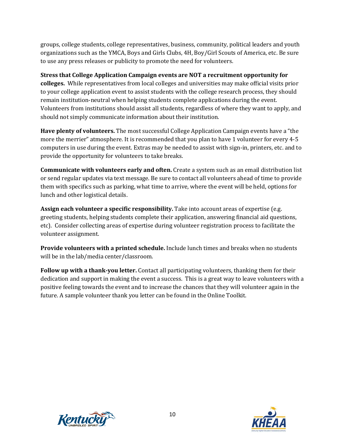groups, college students, college representatives, business, community, political leaders and youth organizations such as the YMCA, Boys and Girls Clubs, 4H, Boy/Girl Scouts of America, etc. Be sure to use any press releases or publicity to promote the need for volunteers.

**Stress that College Application Campaign events are NOT a recruitment opportunity for colleges.** While representatives from local colleges and universities may make official visits prior to your college application event to assist students with the college research process, they should remain institution-neutral when helping students complete applications during the event. Volunteers from institutions should assist all students, regardless of where they want to apply, and should not simply communicate information about their institution.

**Have plenty of volunteers.** The most successful College Application Campaign events have a "the more the merrier" atmosphere. It is recommended that you plan to have 1 volunteer for every 4-5 computers in use during the event. Extras may be needed to assist with sign-in, printers, etc. and to provide the opportunity for volunteers to take breaks.

**Communicate with volunteers early and often.** Create a system such as an email distribution list or send regular updates via text message. Be sure to contact all volunteers ahead of time to provide them with specifics such as parking, what time to arrive, where the event will be held, options for lunch and other logistical details.

**Assign each volunteer a specific responsibility.** Take into account areas of expertise (e.g. greeting students, helping students complete their application, answering financial aid questions, etc). Consider collecting areas of expertise during volunteer registration process to facilitate the volunteer assignment.

**Provide volunteers with a printed schedule.** Include lunch times and breaks when no students will be in the lab/media center/classroom.

**Follow up with a thank-you letter.** Contact all participating volunteers, thanking them for their dedication and support in making the event a success. This is a great way to leave volunteers with a positive feeling towards the event and to increase the chances that they will volunteer again in the future. A sample volunteer thank you letter can be found in the Online Toolkit.



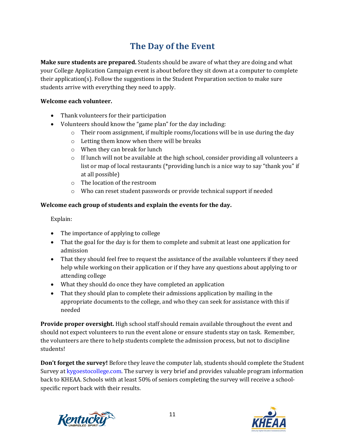## **The Day of the Event**

**Make sure students are prepared.** Students should be aware of what they are doing and what your College Application Campaign event is about before they sit down at a computer to complete their application(s). Follow the suggestions in the Student Preparation section to make sure students arrive with everything they need to apply.

#### **Welcome each volunteer.**

- Thank volunteers for their participation
- Volunteers should know the "game plan" for the day including:
	- o Their room assignment, if multiple rooms/locations will be in use during the day
	- o Letting them know when there will be breaks
	- o When they can break for lunch
	- $\circ$  If lunch will not be available at the high school, consider providing all volunteers a list or map of local restaurants (\*providing lunch is a nice way to say "thank you" if at all possible)
	- o The location of the restroom
	- o Who can reset student passwords or provide technical support if needed

#### **Welcome each group of students and explain the events for the day.**

Explain:

- The importance of applying to college
- That the goal for the day is for them to complete and submit at least one application for admission
- That they should feel free to request the assistance of the available volunteers if they need help while working on their application or if they have any questions about applying to or attending college
- What they should do once they have completed an application
- That they should plan to complete their admissions application by mailing in the appropriate documents to the college, and who they can seek for assistance with this if needed

**Provide proper oversight.** High school staff should remain available throughout the event and should not expect volunteers to run the event alone or ensure students stay on task. Remember, the volunteers are there to help students complete the admission process, but not to discipline students!

**Don't forget the survey!** Before they leave the computer lab, students should complete the Student Survey at kygoestocollege.com. The survey is very brief and provides valuable program information back to KHEAA. Schools with at least 50% of seniors completing the survey will receive a schoolspecific report back with their results.



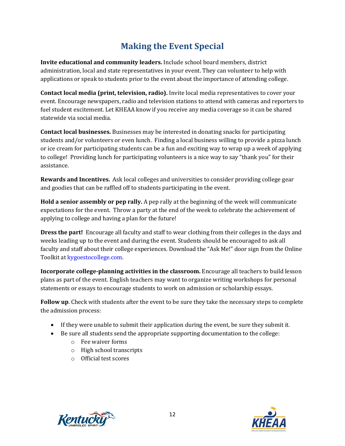## **Making the Event Special**

**Invite educational and community leaders.** Include school board members, district administration, local and state representatives in your event. They can volunteer to help with applications or speak to students prior to the event about the importance of attending college.

**Contact local media (print, television, radio).** Invite local media representatives to cover your event. Encourage newspapers, radio and television stations to attend with cameras and reporters to fuel student excitement. Let KHEAA know if you receive any media coverage so it can be shared statewide via social media.

**Contact local businesses.** Businesses may be interested in donating snacks for participating students and/or volunteers or even lunch. Finding a local business willing to provide a pizza lunch or ice cream for participating students can be a fun and exciting way to wrap up a week of applying to college! Providing lunch for participating volunteers is a nice way to say "thank you" for their assistance.

**Rewards and Incentives.** Ask local colleges and universities to consider providing college gear and goodies that can be raffled off to students participating in the event.

**Hold a senior assembly or pep rally.** A pep rally at the beginning of the week will communicate expectations for the event. Throw a party at the end of the week to celebrate the achievement of applying to college and having a plan for the future!

**Dress the part!** Encourage all faculty and staff to wear clothing from their colleges in the days and weeks leading up to the event and during the event. Students should be encouraged to ask all faculty and staff about their college experiences. Download the "Ask Me!" door sign from the Online Toolkit a[t kygoestocollege.com.](http://www.kygoestocollege.com/)

**Incorporate college-planning activities in the classroom.** Encourage all teachers to build lesson plans as part of the event. English teachers may want to organize writing workshops for personal statements or essays to encourage students to work on admission or scholarship essays.

**Follow up**. Check with students after the event to be sure they take the necessary steps to complete the admission process:

- If they were unable to submit their application during the event, be sure they submit it.
- Be sure all students send the appropriate supporting documentation to the college:
	- o Fee waiver forms
	- o High school transcripts
	- o Official test scores



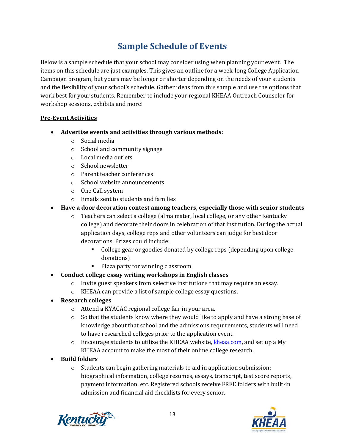## **Sample Schedule of Events**

Below is a sample schedule that your school may consider using when planning your event. The items on this schedule are just examples. This gives an outline for a week-long College Application Campaign program, but yours may be longer or shorter depending on the needs of your students and the flexibility of your school's schedule. Gather ideas from this sample and use the options that work best for your students. Remember to include your regional KHEAA Outreach Counselor for workshop sessions, exhibits and more!

#### **Pre-Event Activities**

- **Advertise events and activities through various methods:**
	- o Social media
	- o School and community signage
	- o Local media outlets
	- o School newsletter
	- o Parent teacher conferences
	- o School website announcements
	- o One Call system
	- o Emails sent to students and families
- **Have a door decoration contest among teachers, especially those with senior students**
	- o Teachers can select a college (alma mater, local college, or any other Kentucky college) and decorate their doors in celebration of that institution. During the actual application days, college reps and other volunteers can judge for best door decorations. Prizes could include:
		- College gear or goodies donated by college reps (depending upon college donations)
		- Pizza party for winning classroom
- **Conduct college essay writing workshops in English classes**
	- $\circ$  Invite guest speakers from selective institutions that may require an essay.
	- o KHEAA can provide a list of sample college essay questions.
- **Research colleges**
	- o Attend a KYACAC regional college fair in your area.
	- $\circ$  So that the students know where they would like to apply and have a strong base of knowledge about that school and the admissions requirements, students will need to have researched colleges prior to the application event.
	- $\circ$  Encourage students to utilize the KHEAA website, [kheaa.com,](http://www.kheaa.com/) and set up a My KHEAA account to make the most of their online college research.
- **Build folders**
	- o Students can begin gathering materials to aid in application submission: biographical information, college resumes, essays, transcript, test score reports, payment information, etc. Registered schools receive FREE folders with built-in admission and financial aid checklists for every senior.



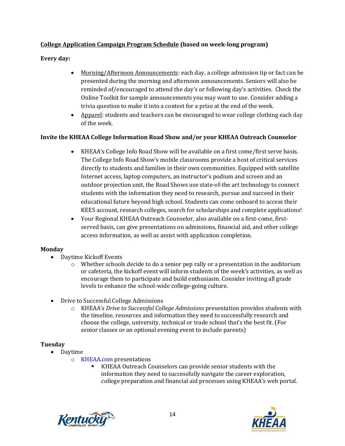#### **College Application Campaign Program Schedule (based on week-long program)**

**Every day:**

- Morning/Afternoon Announcements: each day, a college admission tip or fact can be presented during the morning and afternoon announcements. Seniors will also be reminded of/encouraged to attend the day's or following day's activities. Check the Online Toolkit for sample announcements you may want to use. Consider adding a trivia question to make it into a contest for a prize at the end of the week.
- Apparel: students and teachers can be encouraged to wear college clothing each day of the week.

#### **Invite the KHEAA College Information Road Show and/or your KHEAA Outreach Counselor**

- KHEAA's College Info Road Show will be available on a first come/first serve basis. The College Info Road Show's mobile classrooms provide a host of critical services directly to students and families in their own communities. Equipped with satellite Internet access, laptop computers, an instructor's podium and screen and an outdoor projection unit, the Road Shows use state-of-the art technology to connect students with the information they need to research, pursue and succeed in their educational future beyond high school. Students can come onboard to access their KEES account, research colleges, search for scholarships and complete applications!
- Your Regional KHEAA Outreach Counselor, also available on a first-come, firstserved basis, can give presentations on admissions, financial aid, and other college access information, as well as assist with application completion.

#### **Monday**

- Daytime Kickoff Events
	- $\circ$  Whether schools decide to do a senior pep rally or a presentation in the auditorium or cafeteria, the kickoff event will inform students of the week's activities, as well as encourage them to participate and build enthusiasm. Consider inviting all grade levels to enhance the school-wide college-going culture.
- Drive to Successful College Admissions
	- o KHEAA's *Drive to Successful College Admissions* presentation provides students with the timeline, resources and information they need to successfully research and choose the college, university, technical or trade school that's the best fit. (For senior classes or an optional evening event to include parents)

#### **Tuesday**

- Daytime
	- o [KHEAA.com](http://www.kheaa.com/) presentations
		- KHEAA Outreach Counselors can provide senior students with the information they need to successfully navigate the career exploration, college preparation and financial aid processes using KHEAA's web portal.



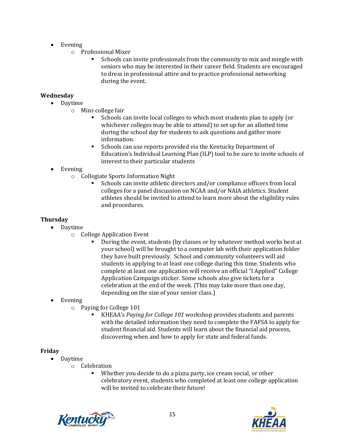- Evening
	- o Professional Mixer
		- Schools can invite professionals from the community to mix and mingle with seniors who may be interested in their career field. Students are encouraged to dress in professional attire and to practice professional networking during the event.

#### **Wednesday**

- Daytime
	- o Mini-college fair
		- Schools can invite local colleges to which most students plan to apply (or whichever colleges may be able to attend) to set up for an allotted time during the school day for students to ask questions and gather more information.
		- Schools can use reports provided via the Kentucky Department of Education's Individual Learning Plan (ILP) tool to be sure to invite schools of interest to their particular students
- Evening
	- o Collegiate Sports Information Night
		- Schools can invite athletic directors and/or compliance officers from local colleges for a panel discussion on NCAA and/or NAIA athletics. Student athletes should be invited to attend to learn more about the eligibility rules and procedures.

#### **Thursday**

- Daytime
	- o College Application Event
		- During the event, students (by classes or by whatever method works best at your school) will be brought to a computer lab with their application folder they have built previously. School and community volunteers will aid students in applying to at least one college during this time. Students who complete at least one application will receive an official "I Applied" College Application Campaign sticker. Some schools also give tickets for a celebration at the end of the week. (This may take more than one day, depending on the size of your senior class.)
- Evening
	- o Paying for College 101
		- KHEAA's *Paying for College 101* workshop provides students and parents with the detailed information they need to complete the FAFSA to apply for student financial aid. Students will learn about the financial aid process, discovering when and how to apply for state and federal funds.

#### **Friday**

- Daytime
	- o Celebration
		- Whether you decide to do a pizza party, ice cream social, or other celebratory event, students who completed at least one college application will be invited to celebrate their future!



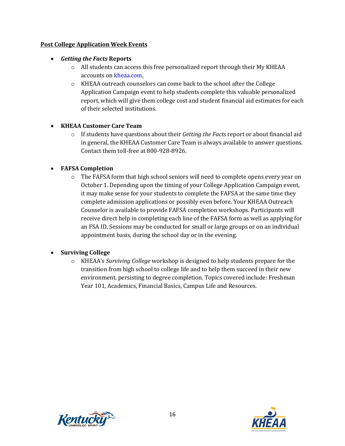#### **Post College Application Week Events**

#### • *Getting the Facts* **Reports**

- $\circ$  All students can access this free personalized report through their My KHEAA accounts o[n kheaa.com.](http://www.kheaa.com/)
- o KHEAA outreach counselors can come back to the school after the College Application Campaign event to help students complete this valuable personalized report, which will give them college cost and student financial aid estimates for each of their selected institutions.

#### • **KHEAA Customer Care Team**

o If students have questions about their *Getting the Facts* report or about financial aid in general, the KHEAA Customer Care Team is always available to answer questions. Contact them toll-free at 800-928-8926.

#### • **FAFSA Completion**

 $\circ$  The FAFSA form that high school seniors will need to complete opens every year on October 1. Depending upon the timing of your College Application Campaign event, it may make sense for your students to complete the FAFSA at the same time they complete admission applications or possibly even before. Your KHEAA Outreach Counselor is available to provide FAFSA completion workshops. Participants will receive direct help in completing each line of the FAFSA form as well as applying for an FSA ID. Sessions may be conducted for small or large groups or on an individual appointment basis, during the school day or in the evening.

#### • **Surviving College**

o KHEAA's *Surviving College* workshop is designed to help students prepare for the transition from high school to college life and to help them succeed in their new environment, persisting to degree completion. Topics covered include: Freshman Year 101, Academics, Financial Basics, Campus Life and Resources.



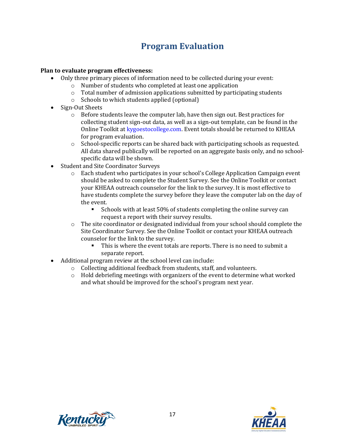## **Program Evaluation**

#### **Plan to evaluate program effectiveness:**

- Only three primary pieces of information need to be collected during your event:
	- o Number of students who completed at least one application
	- $\circ$  Total number of admission applications submitted by participating students
	- o Schools to which students applied (optional)
- Sign-Out Sheets
	- $\circ$  Before students leave the computer lab, have then sign out. Best practices for collecting student sign-out data, as well as a sign-out template, can be found in the Online Toolkit at [kygoestocollege.com.](http://www.kygoestocollege.com/) Event totals should be returned to KHEAA for program evaluation.
	- $\circ$  School-specific reports can be shared back with participating schools as requested. All data shared publically will be reported on an aggregate basis only, and no schoolspecific data will be shown.
- Student and Site Coordinator Surveys
	- o Each student who participates in your school's College Application Campaign event should be asked to complete the Student Survey. See the Online Toolkit or contact your KHEAA outreach counselor for the link to the survey. It is most effective to have students complete the survey before they leave the computer lab on the day of the event.
		- Schools with at least 50% of students completing the online survey can request a report with their survey results.
	- $\circ$  The site coordinator or designated individual from your school should complete the Site Coordinator Survey. See the Online Toolkit or contact your KHEAA outreach counselor for the link to the survey.
		- This is where the event totals are reports. There is no need to submit a separate report.
- Additional program review at the school level can include:
	- o Collecting additional feedback from students, staff, and volunteers.
	- $\circ$  Hold debriefing meetings with organizers of the event to determine what worked and what should be improved for the school's program next year.